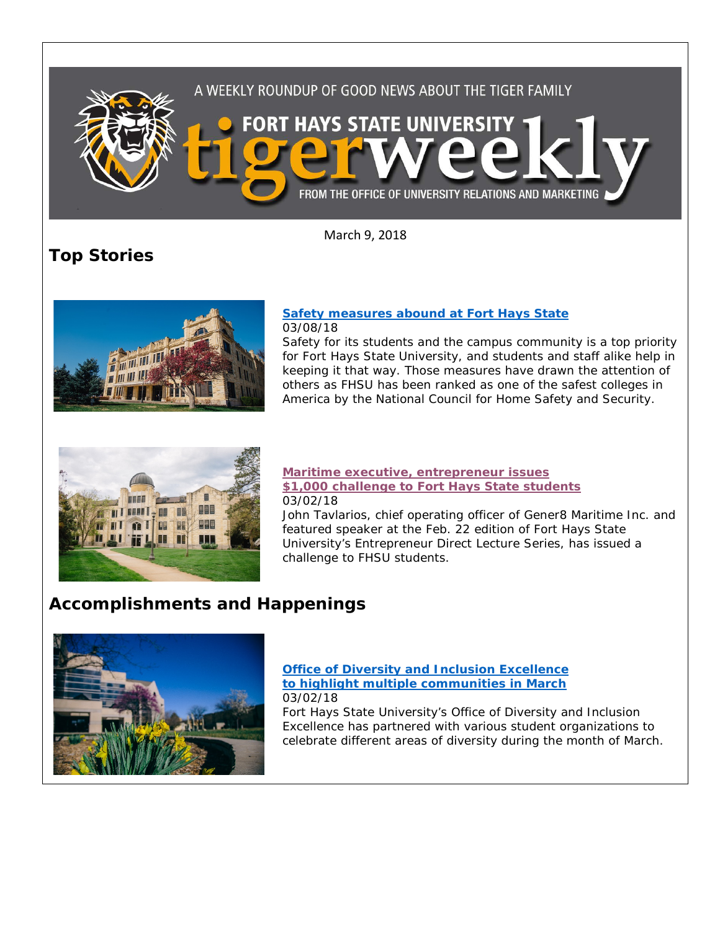

March 9, 2018

**Top Stories**



**[Safety measures abound at Fort Hays State](https://www.fhsu.edu/news/2018/03/safety-measures-abound-at-fort-hays-state.html)** 03/08/18

Safety for its students and the campus community is a top priority for Fort Hays State University, and students and staff alike help in keeping it that way. Those measures have drawn the attention of others as FHSU has been ranked as one of the safest colleges in America by the National Council for Home Safety and Security.



#### **[Maritime executive, entrepreneur issues](http://www.fhsu.edu/news/2018/03/maritime-executive,-entrepreneur-issues-1,000-challenge-to-fort-hays-state-students.html)  [\\$1,000 challenge to Fort Hays State students](http://www.fhsu.edu/news/2018/03/maritime-executive,-entrepreneur-issues-1,000-challenge-to-fort-hays-state-students.html)** 03/02/18

John Tavlarios, chief operating officer of Gener8 Maritime Inc. and featured speaker at the Feb. 22 edition of Fort Hays State University's Entrepreneur Direct Lecture Series, has issued a challenge to FHSU students.

# **Accomplishments and Happenings**



#### **[Office of Diversity and Inclusion Excellence](http://www.fhsu.edu/news/2018/03/office-of-diversity-and-inclusion-excellence-to-highlight-multiple-communities-in-march.html)  [to highlight multiple communities in March](http://www.fhsu.edu/news/2018/03/office-of-diversity-and-inclusion-excellence-to-highlight-multiple-communities-in-march.html)** 03/02/18

Fort Hays State University's Office of Diversity and Inclusion Excellence has partnered with various student organizations to celebrate different areas of diversity during the month of March.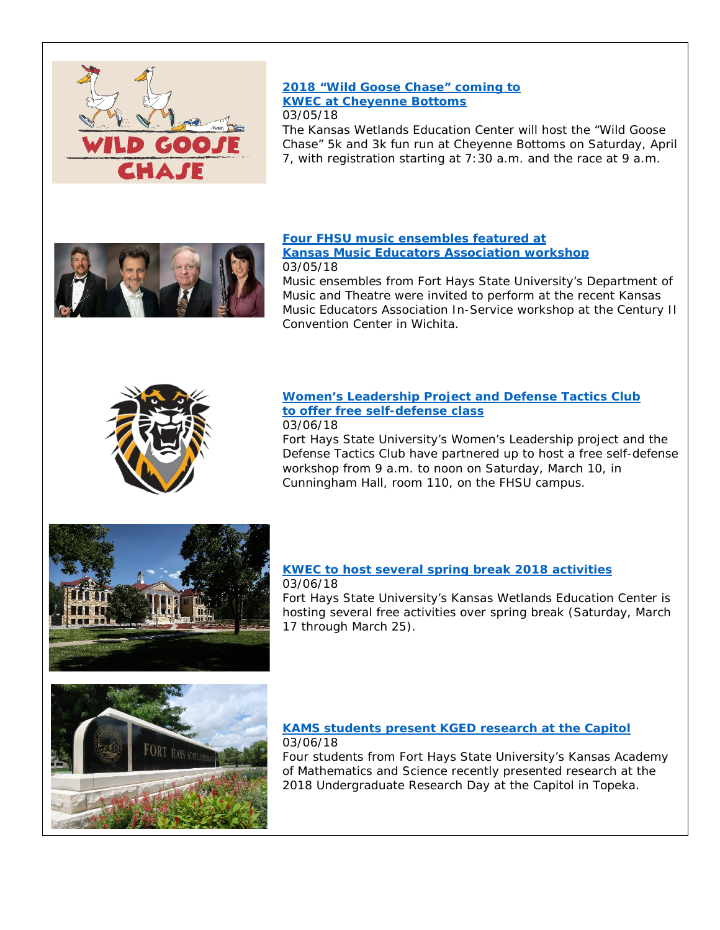

#### **[2018 "Wild Goose Chase" coming to](http://www.fhsu.edu/news/2018/03/2018-wild-goose-chase-coming-to-kwec-at-cheyenne-bottoms.html)  [KWEC at Cheyenne Bottoms](http://www.fhsu.edu/news/2018/03/2018-wild-goose-chase-coming-to-kwec-at-cheyenne-bottoms.html)** 03/05/18

The Kansas Wetlands Education Center will host the "Wild Goose Chase" 5k and 3k fun run at Cheyenne Bottoms on Saturday, April 7, with registration starting at 7:30 a.m. and the race at 9 a.m.



## **[Four FHSU music ensembles featured at](http://www.fhsu.edu/news/2018/03/four-fhsu-music-ensembles-featured-at-kansas-music-educators-association-workshop.html)**

#### **[Kansas Music Educators Association workshop](http://www.fhsu.edu/news/2018/03/four-fhsu-music-ensembles-featured-at-kansas-music-educators-association-workshop.html)** 03/05/18

Music ensembles from Fort Hays State University's Department of Music and Theatre were invited to perform at the recent Kansas Music Educators Association In-Service workshop at the Century II Convention Center in Wichita.



# **[Women's Leadership Project and Defense Tactics Club](http://www.fhsu.edu/news/2018/03/womens-leadership-project-and-defense-tactics-club-to-offer-free-self-defense-class.html)  [to offer free self-defense class](http://www.fhsu.edu/news/2018/03/womens-leadership-project-and-defense-tactics-club-to-offer-free-self-defense-class.html)**

#### 03/06/18

Fort Hays State University's Women's Leadership project and the Defense Tactics Club have partnered up to host a free self-defense workshop from 9 a.m. to noon on Saturday, March 10, in Cunningham Hall, room 110, on the FHSU campus.



#### **[KWEC to host several spring break 2018 activities](http://www.fhsu.edu/news/2018/03/kwec-to-host-several-spring-break-2018-activities.html)** 03/06/18

Fort Hays State University's Kansas Wetlands Education Center is hosting several free activities over spring break (Saturday, March 17 through March 25).



## **[KAMS students present KGED research at the Capitol](http://www.fhsu.edu/news/2018/03/kams-students-present-kged-research-at-the-capitol.html)** 03/06/18

Four students from Fort Hays State University's Kansas Academy of Mathematics and Science recently presented research at the 2018 Undergraduate Research Day at the Capitol in Topeka.